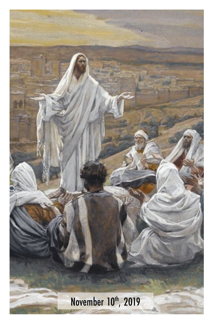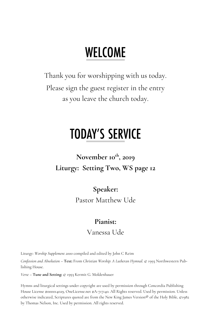# **WELCOME**

Thank you for worshipping with us today. Please sign the guest register in the entry as you leave the church today.

# **TODAY'S SERVICE**

**November 10th, 2019 Liturgy: Setting Two, WS page 12**

> **Speaker:** Pastor Matthew Ude

#### **Pianist:**

#### Vanessa Ude

Liturgy: *Worship Supplement 2000* compiled and edited by John C Reim

*Confession and Absolution* – **Text:** From *Christian Worship: A Lutheran Hymnal.* © 1993 Northwestern Publishing House.

*Verse* – **Tune and Setting:** © 1993 Kermit G. Moldenhauer

Hymns and liturgical settings under copyright are used by permission through Concordia Publishing House License #000014029, OneLicense.net #A-717140. All Rights reserved. Used by permission. Unless otherwise indicated, Scriptures quoted are from the New King James Version® of the Holy Bible, ©1982 by Thomas Nelson, Inc. Used by permission. All rights reserved.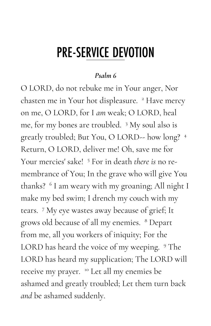## **PRE-SERVICE DEVOTION**

#### *Psalm 6*

O LORD, do not rebuke me in Your anger, Nor chasten me in Your hot displeasure. <sup>2</sup> Have mercy on me, O LORD, for I *am* weak; O LORD, heal me, for my bones are troubled. <sup>3</sup> My soul also is greatly troubled; But You, O LORD-- how long? <sup>4</sup> Return, O LORD, deliver me! Oh, save me for Your mercies' sake! <sup>5</sup> For in death *there is* no remembrance of You; In the grave who will give You thanks? <sup>6</sup> I am weary with my groaning; All night I make my bed swim; I drench my couch with my tears. <sup>7</sup> My eye wastes away because of grief; It grows old because of all my enemies. <sup>8</sup> Depart from me, all you workers of iniquity; For the LORD has heard the voice of my weeping. <sup>9</sup> The LORD has heard my supplication; The LORD will receive my prayer. <sup>10</sup> Let all my enemies be ashamed and greatly troubled; Let them turn back *and* be ashamed suddenly.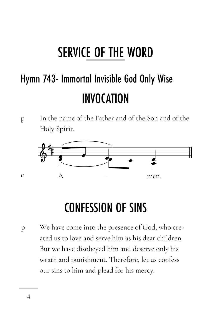# **SERVICE OF THE WORD**

# Hymn 743- Immortal Invisible God Only Wise **INVOCATION**

p In the name of the Father and of the Son and of the Holy Spirit.



# **CONFESSION OF SINS**

p We have come into the presence of God, who created us to love and serve him as his dear children. But we have disobeyed him and deserve only his wrath and punishment. Therefore, let us confess our sins to him and plead for his mercy.

**c**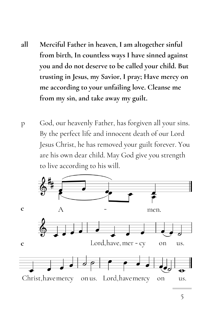- **all Merciful Father in heaven, I am altogether sinful from birth, In countless ways I have sinned against you and do not deserve to be called your child. But trusting in Jesus, my Savior, I pray; Have mercy on me according to your unfailing love. Cleanse me from my sin, and take away my guilt.**
- p God, our heavenly Father, has forgiven all your sins. By the perfect life and innocent death of our Lord Jesus Christ, he has removed your guilt forever. You are his own dear child. May God give you strength to live according to his will.

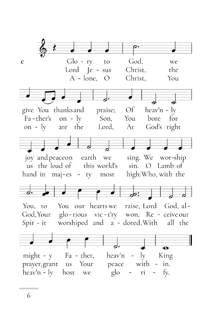$Glo - ry$ God,  $\mathbf c$ to we Lord Je - sus Christ, the  $A - l$ one, O Christ. You give You thanks and praise;  $\mathcal{O}f$  $heav'n - ly$ Fa-ther's on -  $\lg$ Son, You bore for are the God's right on -  $\mathrm{lv}$ Lord, At joy and peaceon earth we sing. We wor-ship us the load of this world's O Lamb of  $\sin$ . hand in maj-es - ty most high: Who, with the You our hearts we raise, Lord God, al-You, to God, Your glo-rious vic-t'ry won, Re - ceive our  $Spir - it$ worshiped and a - dored, With all the  $\overline{\mathbf{e}}$ Fa - ther, heav'n King  $might - y$  $-1v$ prayer, grant Your peace with  $-$  in.  $\mathfrak{u}$ s  $heavy'n - ly$ host glo ri fy. we

6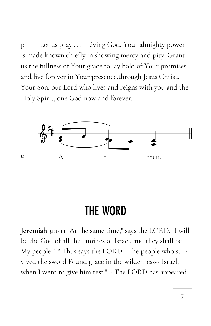p Let us pray . . . Living God, Your almighty power is made known chiefly in showing mercy and pity. Grant us the fullness of Your grace to lay hold of Your promises and live forever in Your presence,through Jesus Christ, Your Son, our Lord who lives and reigns with you and the Holy Spirit, one God now and forever.



**c** 

## **THE WORD**

**Jeremiah 31:1-11** "At the same time," says the LORD, "I will be the God of all the families of Israel, and they shall be My people." <sup>2</sup> Thus says the LORD: "The people who survived the sword Found grace in the wilderness-- Israel, when I went to give him rest." <sup>3</sup> The LORD has appeared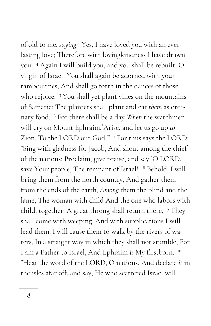of old to me, *saying*: "Yes, I have loved you with an everlasting love; Therefore with lovingkindness I have drawn you. <sup>4</sup> Again I will build you, and you shall be rebuilt, O virgin of Israel! You shall again be adorned with your tambourines, And shall go forth in the dances of those who rejoice. <sup>5</sup> You shall yet plant vines on the mountains of Samaria; The planters shall plant and eat *them* as ordinary food. <sup>6</sup> For there shall be a day *When* the watchmen will cry on Mount Ephraim,`Arise, and let us go up *to*  Zion, To the LORD our God." 7 For thus says the LORD: "Sing with gladness for Jacob, And shout among the chief of the nations; Proclaim, give praise, and say,`O LORD, save Your people, The remnant of Israel!' <sup>8</sup> Behold, I will bring them from the north country, And gather them from the ends of the earth, *Among* them the blind and the lame, The woman with child And the one who labors with child, together; A great throng shall return there. <sup>9</sup> They shall come with weeping, And with supplications I will lead them. I will cause them to walk by the rivers of waters, In a straight way in which they shall not stumble; For I am a Father to Israel, And Ephraim *is* My firstborn. <sup>10</sup> "Hear the word of the LORD, O nations, And declare *it* in the isles afar off, and say,`He who scattered Israel will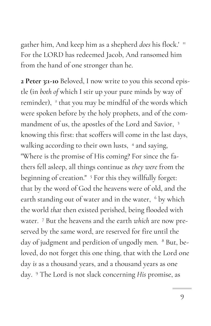gather him, And keep him as a shepherd *does* his flock.' <sup>11</sup> For the LORD has redeemed Jacob, And ransomed him from the hand of one stronger than he.

**2 Peter 3:1-10** Beloved, I now write to you this second epistle (in *both of* which I stir up your pure minds by way of reminder), <sup>2</sup> that you may be mindful of the words which were spoken before by the holy prophets, and of the commandment of us, the apostles of the Lord and Savior, <sup>3</sup> knowing this first: that scoffers will come in the last days, walking according to their own lusts, <sup>4</sup> and saying, "Where is the promise of His coming? For since the fathers fell asleep, all things continue as *they were* from the beginning of creation." <sup>5</sup> For this they willfully forget: that by the word of God the heavens were of old, and the earth standing out of water and in the water, <sup>6</sup> by which the world *that* then existed perished, being flooded with water. <sup>7</sup> But the heavens and the earth *which* are now preserved by the same word, are reserved for fire until the day of judgment and perdition of ungodly men. <sup>8</sup> But, beloved, do not forget this one thing, that with the Lord one day *is* as a thousand years, and a thousand years as one day. <sup>9</sup> The Lord is not slack concerning *His* promise, as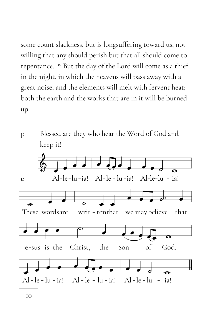some count slackness, but is longsuffering toward us, not willing that any should perish but that all should come to repentance. <sup>10</sup> But the day of the Lord will come as a thief in the night, in which the heavens will pass away with a great noise, and the elements will melt with fervent heat; both the earth and the works that are in it will be burned up.



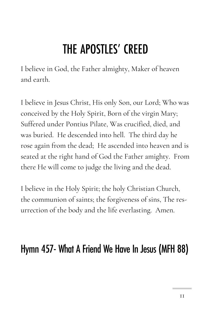# THE APOSTLES' CREED

I believe in God, the Father almighty, Maker of heaven and earth.

I believe in Jesus Christ, His only Son, our Lord; Who was conceived by the Holy Spirit, Born of the virgin Mary; Suffered under Pontius Pilate, Was crucified, died, and was buried. He descended into hell. The third day he rose again from the dead; He ascended into heaven and is seated at the right hand of God the Father amighty. From there He will come to judge the living and the dead.

I believe in the Holy Spirit; the holy Christian Church, the communion of saints; the forgiveness of sins, The resurrection of the body and the life everlasting. Amen.

### Hymn 457- What A Friend We Have In Jesus (MFH 88)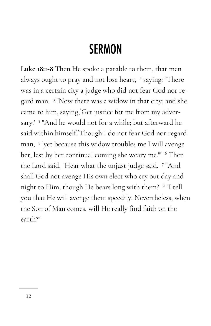## **SERMON**

**Luke 18:1-8** Then He spoke a parable to them, that men always ought to pray and not lose heart, <sup>2</sup> saying: "There was in a certain city a judge who did not fear God nor regard man. <sup>3</sup> "Now there was a widow in that city; and she came to him, saying,`Get justice for me from my adversary.' <sup>4</sup> "And he would not for a while; but afterward he said within himself,`Though I do not fear God nor regard man, <sup>5</sup> `yet because this widow troubles me I will avenge her, lest by her continual coming she weary me." <sup>6</sup> Then the Lord said, "Hear what the unjust judge said. <sup>7</sup> "And shall God not avenge His own elect who cry out day and night to Him, though He bears long with them? <sup>8</sup> "I tell you that He will avenge them speedily. Nevertheless, when the Son of Man comes, will He really find faith on the earth?"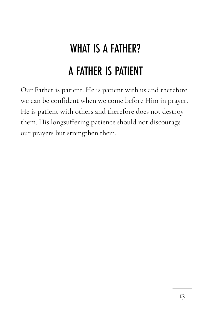# **WHAT IS A FATHER?** A FATHER IS PATIENT

Our Father is patient. He is patient with us and therefore we can be confident when we come before Him in prayer. He is patient with others and therefore does not destroy them. His longsuffering patience should not discourage our prayers but strengthen them.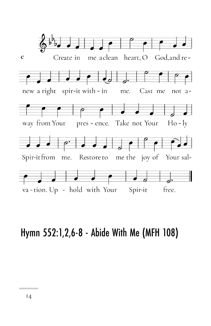

### Hymn 552:1,2,6-8 - Abide With Me (MFH 108)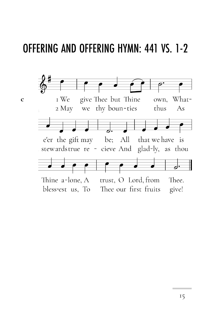### **OFFERING AND OFFERING HYMN: 441 VS. 1-2**

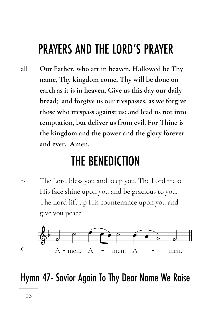## **PRAYERS AND THE LORD'S PRAYER**

**all Our Father, who art in heaven, Hallowed be Thy name, Thy kingdom come, Thy will be done on earth as it is in heaven. Give us this day our daily bread; and forgive us our trespasses, as we forgive those who trespass against us; and lead us not into temptation, but deliver us from evil. For Thine is the kingdom and the power and the glory forever and ever. Amen.**

### **THE BENEDICTION**

p The Lord bless you and keep you. The Lord make His face shine upon you and be gracious to you. The Lord lift up His countenance upon you and give you peace.



### Hymn 47- Savior Again To Thy Dear Name We Raise

**c**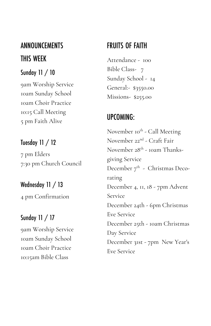### **ANNOUNCEMENTS** THIS WEEK

#### Sunday  $11 / 10$

9am Worship Service 10am Sunday School 10am Choir Practice 10:15 Call Meeting 5 pm Faith Alive

#### Tuesday 11 / 12

7 pm Elders 7:30 pm Church Council

### Wednesday 11 / 13

4 pm Confirmation

#### Sunday  $11 / 17$

9am Worship Service 10am Sunday School 10am Choir Practice 10:15am Bible Class

#### **FRUITS OF FAITH**

Attendance - 100 Bible Class- 7 Sunday School - 14 General:- \$3550.00 Missions- \$255.00

#### UPCOMING:

November 10<sup>th</sup> - Call Meeting November 22nd - Craft Fair November 28<sup>th</sup> - 10am Thanksgiving Service December  $7^{\text{th}}$  - Christmas Decorating December 4, 11, 18 - 7pm Advent Service December 24th - 6pm Christmas Eve Service December 25th - 10am Christmas Day Service December 31st - 7pm New Year's Eve Service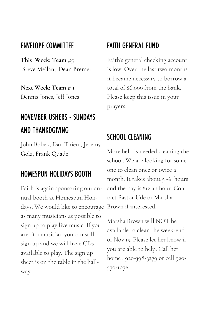#### **ENVELOPE COMMITTEE**

**This Week: Team #5** Steve Meilan, Dean Bremer

**Next Week: Team # 1** Dennis Jones, Jeff Jones

### **NOVEMBER USHERS - SUNDAYS** AND THANKDGIVING

John Bobek, Dan Thiem, Jeremy Golz, Frank Quade

#### **HOMESPUN HOLIDAYS BOOTH**

Faith is again sponsoring our annual booth at Homespun Holidays. We would like to encourage as many musicians as possible to sign up to play live music. If you aren't a musician you can still sign up and we will have CDs available to play. The sign up sheet is on the table in the hallway.

#### **FAITH GENERAL FUND**

Faith's general checking account is low. Over the last two months it became necessary to borrow a total of \$6,000 from the bank. Please keep this issue in your prayers.

#### **SCHOOL CLEANING**

More help is needed cleaning the school. We are looking for someone to clean once or twice a month. It takes about 5 -6 hours and the pay is \$12 an hour. Contact Pastor Ude or Marsha Brown if interested.

Marsha Brown will NOT be available to clean the week-end of Nov 15. Please let her know if you are able to help. Call her home , 920-398-3279 or cell 920- 570-1076.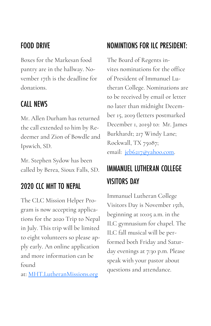#### **FOOD DRIVE**

Boxes for the Markesan food pantry are in the hallway. November 17th is the deadline for donations.

#### **CALL NEWS**

Mr. Allen Durham has returned the call extended to him by Redeemer and Zion of Bowdle and Ipswich, SD.

Mr. Stephen Sydow has been called by Berea, Sioux Falls, SD.

### **2020 CLC MHT TO NEPAL**

The CLC Mission Helper Program is now accepting applications for the 2020 Trip to Nepal in July. This trip will be limited to eight volunteers so please apply early. An online application and more information can be found

at: [MHT.LutheranMissions.org](http://mht.lutheranmissions.org/)

### **NOMINTIONS FOR ILC PRESIDENT:**

The Board of Regents invites nominations for the office of President of Immanuel Lutheran College. Nominations are to be received by email or letter no later than midnight December 15, 2019 (letters postmarked December 1, 2019) to: Mr. James Burkhardt; 217 Windy Lane; Rockwall, TX 75087; email: [jeb6217@yahoo.com.](mailto:jeb6217@yahoo.com)

### **IMMANUEL LUTHERAN COLLEGE VISITORS DAY**

Immanuel Lutheran College Visitors Day is November 15th, beginning at 10:05 a.m. in the ILC gymnasium for chapel. The ILC fall musical will be performed both Friday and Saturday evenings at 7:30 p.m. Please speak with your pastor about questions and attendance.